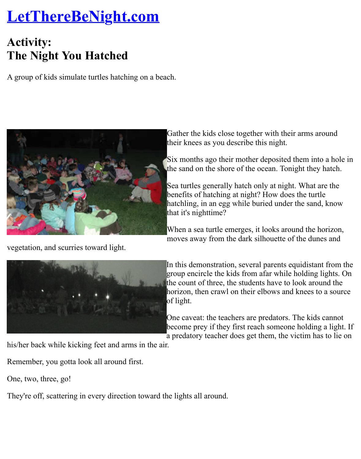[A group of kids simulate turtles hatching on a be](http://www.lettherebenight.com/index.html)ach.



Gather the kids close together with their arn their knees as you describe this night.

Six months ago their mother deposited then the sand on the shore of the ocean. Tonight

Sea turtles generally hatch only at night. W. benefits of hatching at night? How does the hatchling, in an egg while buried under the that it's nighttime?

When a sea turtle emerges, it looks around the horizon, the horizon, the horizon, the horizon, the  $\mu$ moves away from the dark silhouette of the

vegetation, and scurries toward light.



In this demonstration, several parents equid group encircle the kids from afar while hold the count of three, the students have to look horizon, then crawl on their elbows and kne of light.

One caveat: the teachers are predators. The become prey if they first reach someone holding a light. If  $\alpha$ a predatory teacher does get them, the victing

his/her back while kicking feet and arms in the air.

Remember, you gotta look all around first.

One, two, three, go!

They're off, scattering in every direction toward the lights all around.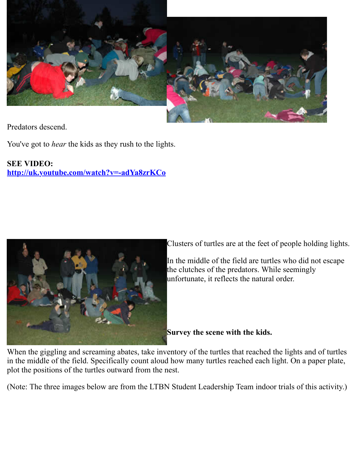

Predators descend.

You've got to *hear* the kids as they rush to the lights.

### **SEE VIDEO:**

**http://uk.youtube.com/watch?v=-adYa8zrKCo**



Clusters of turtles are at the feet of people h

In the middle of the field are turtles who did the clutches of the predators. While seeming unfortunate, it reflects the natural order.

**Survey the scene with the kids.**

When the giggling and screaming abates, take inventory of the turtles that reached the lights and  $\alpha$ in the middle of the field. Specifically count aloud how many turtles reached each light. On a plot the positions of the turtles outward from the nest.

(Note: The three images below are from the LTBN Student Leadership Team indoor trials of this activity.)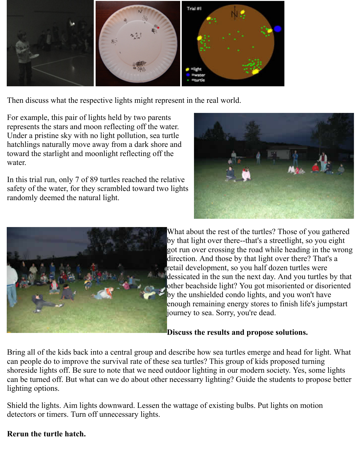

[Then discuss what the resp](http://www.lettherebenight.com/turtle-tally.JPG)[ective lights might represen](http://www.lettherebenight.com/DSC04494.JPG)[t in the real world.](http://www.lettherebenight.com/turtle-plot1.jpg)

For example, this pair of lights held by two parents represents the stars and moon reflecting off the water. Under a pristine sky with no light pollution, sea turtle hatchlings naturally move away from a dark shore and toward the starlight and moonlight reflecting off the water

In this trial run, only 7 of 89 turtles reached the relative safety of the water, for they scrambled toward two lights randomly deemed the natural light.





What about the rest of the turtles? Those of by that light over there--that's a streetlight, got run over crossing the road while heading direction. And those by that light over there retail development, so you half dozen turtles dessicated in the sun the next day. And you other beachside light? You got misoriented by the unshielded condo lights, and you wo enough remaining energy stores to finish lift journey to sea. Sorry, you're dead.

#### **Discuss the results and propose solutions.**

Bring all of the kids back into a central group and describe how sea turtles emerge and head for light. Bring. What is a central group and describe how sea turtles emerge and head for  $\mu$ can people do to improve the survival rate of these sea turtles? This group of kids proposed turning shoreside lights off. Be sure to note that we need outdoor lighting in our modern society. Yes, can be turned off. But what can we do about other necessarry lighting? Guide the students to lighting options.

Shield the lights. Aim lights downward. Lessen the wattage of existing bulbs. Put lights on m detectors or timers. Turn off unnecessary lights.

#### **Rerun the turtle hatch.**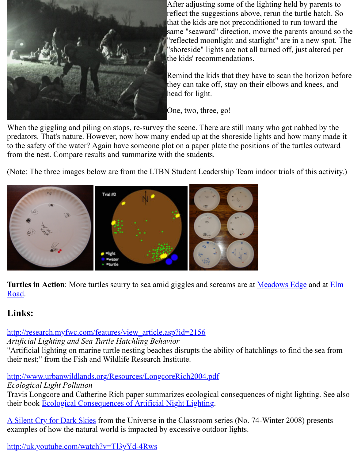

Remind the kids that they have to scan the h they can take off, stay on their elbows and k head for light.

One, two, three, go!

When the giggling and piling on stops, re-survey the scene. There are still many who got nabbed by the by the scene. predators. That's nature. However, now how many ended up at the shoreside lights and how n to the safety of the water? Again have someone plot on a paper plate the positions of the turtles from the nest. Compare results and summarize with the students.

(Note: The three images below are from the LTBN Student Leadership Team indoor trials of this activity.)



**Turtles in Action**: More tu[rtles scurry to sea amid giggl](http://www.lettherebenight.com/turtle-plot2.jpg)es and screams are at **Meadows Edge** Road.

# **Links:**

## [http://research.myfwc.com/](http://www.lettherebenight.com/DSC04490_2.JPG)features/view\_article.asp?id=2156

*Artificial Lighting and Sea Turtle Hatchling Behavior*

"Artificial lighting on marine turtle nesting beaches disrupts the ability of hatchlings to find the their nest;" from the Fish and Wildlife Research Institute.

http://www.urbanwildlands.org/Resources/LongcoreRich2004.pdf *Ecological Light Pollution*

[Travis Longcore and Catherine Rich paper summarizes ecolog](http://research.myfwc.com/features/view_article.asp?id=2156)ical consequences of night light their book Ecological Consequences of Artificial Night Lighting.

A Silent Cry for Dark Skies from the Universe in the Classroom series (No. 74-Winter 2008) examples of how the natural world is impacted by excessive outdoor lights.

[http://uk.youtube.com/watch?v=Tl3yYd-4Rws](http://www.urbanwildlands.org/Resources/LongcoreRich2004.pdf)